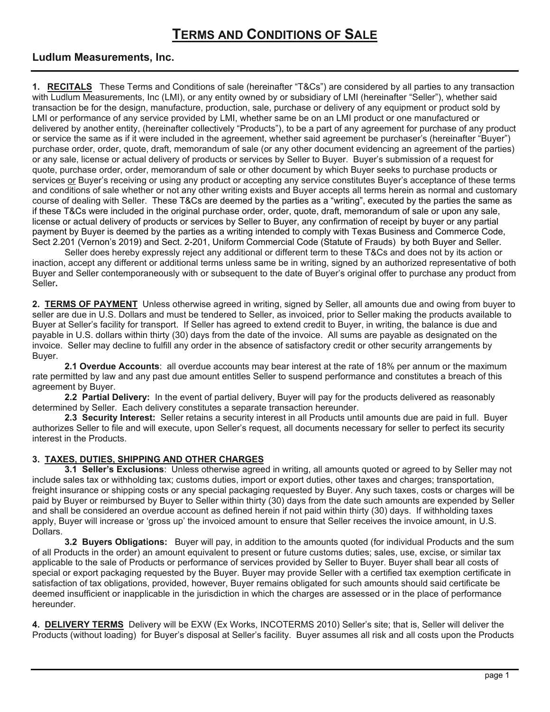# **TERMS AND CONDITIONS OF SALE**

## **Ludlum Measurements, Inc.**

**1. RECITALS** These Terms and Conditions of sale (hereinafter "T&Cs") are considered by all parties to any transaction with Ludlum Measurements, Inc (LMI), or any entity owned by or subsidiary of LMI (hereinafter "Seller"), whether said transaction be for the design, manufacture, production, sale, purchase or delivery of any equipment or product sold by LMI or performance of any service provided by LMI, whether same be on an LMI product or one manufactured or delivered by another entity, (hereinafter collectively "Products"), to be a part of any agreement for purchase of any product or service the same as if it were included in the agreement, whether said agreement be purchaser's (hereinafter "Buyer") purchase order, order, quote, draft, memorandum of sale (or any other document evidencing an agreement of the parties) or any sale, license or actual delivery of products or services by Seller to Buyer. Buyer's submission of a request for quote, purchase order, order, memorandum of sale or other document by which Buyer seeks to purchase products or services or Buyer's receiving or using any product or accepting any service constitutes Buyer's acceptance of these terms and conditions of sale whether or not any other writing exists and Buyer accepts all terms herein as normal and customary course of dealing with Seller. These T&Cs are deemed by the parties as a "writing", executed by the parties the same as if these T&Cs were included in the original purchase order, order, quote, draft, memorandum of sale or upon any sale, license or actual delivery of products or services by Seller to Buyer, any confirmation of receipt by buyer or any partial payment by Buyer is deemed by the parties as a writing intended to comply with Texas Business and Commerce Code, Sect 2.201 (Vernon's 2019) and Sect. 2-201, Uniform Commercial Code (Statute of Frauds) by both Buyer and Seller.

Seller does hereby expressly reject any additional or different term to these T&Cs and does not by its action or inaction, accept any different or additional terms unless same be in writing, signed by an authorized representative of both Buyer and Seller contemporaneously with or subsequent to the date of Buyer's original offer to purchase any product from Seller**.**

**2. TERMS OF PAYMENT** Unless otherwise agreed in writing, signed by Seller, all amounts due and owing from buyer to seller are due in U.S. Dollars and must be tendered to Seller, as invoiced, prior to Seller making the products available to Buyer at Seller's facility for transport. If Seller has agreed to extend credit to Buyer, in writing, the balance is due and payable in U.S. dollars within thirty (30) days from the date of the invoice. All sums are payable as designated on the invoice. Seller may decline to fulfill any order in the absence of satisfactory credit or other security arrangements by Buyer.

**2.1 Overdue Accounts**: all overdue accounts may bear interest at the rate of 18% per annum or the maximum rate permitted by law and any past due amount entitles Seller to suspend performance and constitutes a breach of this agreement by Buyer.

**2.2 Partial Delivery:** In the event of partial delivery, Buyer will pay for the products delivered as reasonably determined by Seller. Each delivery constitutes a separate transaction hereunder.

**2.3 Security Interest:** Seller retains a security interest in all Products until amounts due are paid in full. Buyer authorizes Seller to file and will execute, upon Seller's request, all documents necessary for seller to perfect its security interest in the Products.

### **3. TAXES, DUTIES, SHIPPING AND OTHER CHARGES**

**3.1 Seller's Exclusions**: Unless otherwise agreed in writing, all amounts quoted or agreed to by Seller may not include sales tax or withholding tax; customs duties, import or export duties, other taxes and charges; transportation, freight insurance or shipping costs or any special packaging requested by Buyer. Any such taxes, costs or charges will be paid by Buyer or reimbursed by Buyer to Seller within thirty (30) days from the date such amounts are expended by Seller and shall be considered an overdue account as defined herein if not paid within thirty (30) days. If withholding taxes apply, Buyer will increase or 'gross up' the invoiced amount to ensure that Seller receives the invoice amount, in U.S. Dollars.

**3.2 Buyers Obligations:** Buyer will pay, in addition to the amounts quoted (for individual Products and the sum of all Products in the order) an amount equivalent to present or future customs duties; sales, use, excise, or similar tax applicable to the sale of Products or performance of services provided by Seller to Buyer. Buyer shall bear all costs of special or export packaging requested by the Buyer. Buyer may provide Seller with a certified tax exemption certificate in satisfaction of tax obligations, provided, however, Buyer remains obligated for such amounts should said certificate be deemed insufficient or inapplicable in the jurisdiction in which the charges are assessed or in the place of performance hereunder.

**4. DELIVERY TERMS** Delivery will be EXW (Ex Works, INCOTERMS 2010) Seller's site; that is, Seller will deliver the Products (without loading) for Buyer's disposal at Seller's facility. Buyer assumes all risk and all costs upon the Products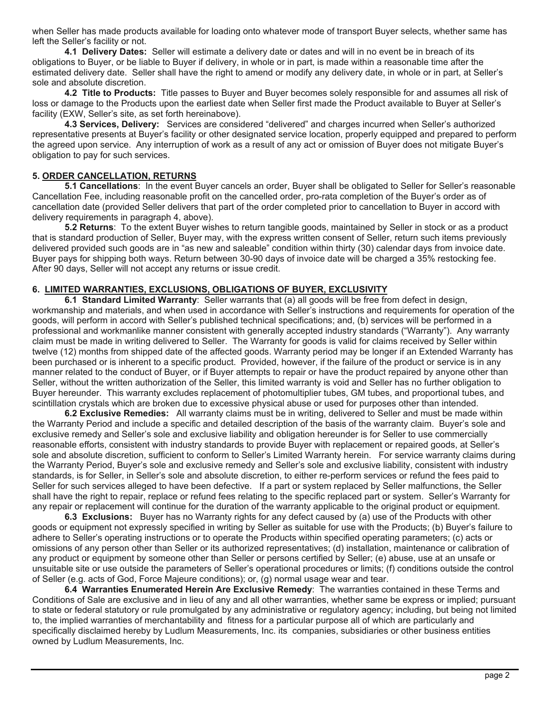when Seller has made products available for loading onto whatever mode of transport Buyer selects, whether same has left the Seller's facility or not.

**4.1 Delivery Dates:** Seller will estimate a delivery date or dates and will in no event be in breach of its obligations to Buyer, or be liable to Buyer if delivery, in whole or in part, is made within a reasonable time after the estimated delivery date. Seller shall have the right to amend or modify any delivery date, in whole or in part, at Seller's sole and absolute discretion.

**4.2 Title to Products:** Title passes to Buyer and Buyer becomes solely responsible for and assumes all risk of loss or damage to the Products upon the earliest date when Seller first made the Product available to Buyer at Seller's facility (EXW, Seller's site, as set forth hereinabove).

**4.3 Services, Delivery:** Services are considered "delivered" and charges incurred when Seller's authorized representative presents at Buyer's facility or other designated service location, properly equipped and prepared to perform the agreed upon service. Any interruption of work as a result of any act or omission of Buyer does not mitigate Buyer's obligation to pay for such services.

#### **5. ORDER CANCELLATION, RETURNS**

**5.1 Cancellations**: In the event Buyer cancels an order, Buyer shall be obligated to Seller for Seller's reasonable Cancellation Fee, including reasonable profit on the cancelled order, pro-rata completion of the Buyer's order as of cancellation date (provided Seller delivers that part of the order completed prior to cancellation to Buyer in accord with delivery requirements in paragraph 4, above).

**5.2 Returns**: To the extent Buyer wishes to return tangible goods, maintained by Seller in stock or as a product that is standard production of Seller, Buyer may, with the express written consent of Seller, return such items previously delivered provided such goods are in "as new and saleable" condition within thirty (30) calendar days from invoice date. Buyer pays for shipping both ways. Return between 30-90 days of invoice date will be charged a 35% restocking fee. After 90 days, Seller will not accept any returns or issue credit.

#### **6. LIMITED WARRANTIES, EXCLUSIONS, OBLIGATIONS OF BUYER, EXCLUSIVITY**

**6.1 Standard Limited Warranty**: Seller warrants that (a) all goods will be free from defect in design, workmanship and materials, and when used in accordance with Seller's instructions and requirements for operation of the goods, will perform in accord with Seller's published technical specifications; and, (b) services will be performed in a professional and workmanlike manner consistent with generally accepted industry standards ("Warranty"). Any warranty claim must be made in writing delivered to Seller. The Warranty for goods is valid for claims received by Seller within twelve (12) months from shipped date of the affected goods. Warranty period may be longer if an Extended Warranty has been purchased or is inherent to a specific product. Provided, however, if the failure of the product or service is in any manner related to the conduct of Buyer, or if Buyer attempts to repair or have the product repaired by anyone other than Seller, without the written authorization of the Seller, this limited warranty is void and Seller has no further obligation to Buyer hereunder. This warranty excludes replacement of photomultiplier tubes, GM tubes, and proportional tubes, and scintillation crystals which are broken due to excessive physical abuse or used for purposes other than intended.

**6.2 Exclusive Remedies:** All warranty claims must be in writing, delivered to Seller and must be made within the Warranty Period and include a specific and detailed description of the basis of the warranty claim. Buyer's sole and exclusive remedy and Seller's sole and exclusive liability and obligation hereunder is for Seller to use commercially reasonable efforts, consistent with industry standards to provide Buyer with replacement or repaired goods, at Seller's sole and absolute discretion, sufficient to conform to Seller's Limited Warranty herein. For service warranty claims during the Warranty Period, Buyer's sole and exclusive remedy and Seller's sole and exclusive liability, consistent with industry standards, is for Seller, in Seller's sole and absolute discretion, to either re-perform services or refund the fees paid to Seller for such services alleged to have been defective. If a part or system replaced by Seller malfunctions, the Seller shall have the right to repair, replace or refund fees relating to the specific replaced part or system. Seller's Warranty for any repair or replacement will continue for the duration of the warranty applicable to the original product or equipment.

**6.3 Exclusions:** Buyer has no Warranty rights for any defect caused by (a) use of the Products with other goods or equipment not expressly specified in writing by Seller as suitable for use with the Products; (b) Buyer's failure to adhere to Seller's operating instructions or to operate the Products within specified operating parameters; (c) acts or omissions of any person other than Seller or its authorized representatives; (d) installation, maintenance or calibration of any product or equipment by someone other than Seller or persons certified by Seller; (e) abuse, use at an unsafe or unsuitable site or use outside the parameters of Seller's operational procedures or limits; (f) conditions outside the control of Seller (e.g. acts of God, Force Majeure conditions); or, (g) normal usage wear and tear.

**6.4 Warranties Enumerated Herein Are Exclusive Remedy**: The warranties contained in these Terms and Conditions of Sale are exclusive and in lieu of any and all other warranties, whether same be express or implied; pursuant to state or federal statutory or rule promulgated by any administrative or regulatory agency; including, but being not limited to, the implied warranties of merchantability and fitness for a particular purpose all of which are particularly and specifically disclaimed hereby by Ludlum Measurements, Inc. its companies, subsidiaries or other business entities owned by Ludlum Measurements, Inc.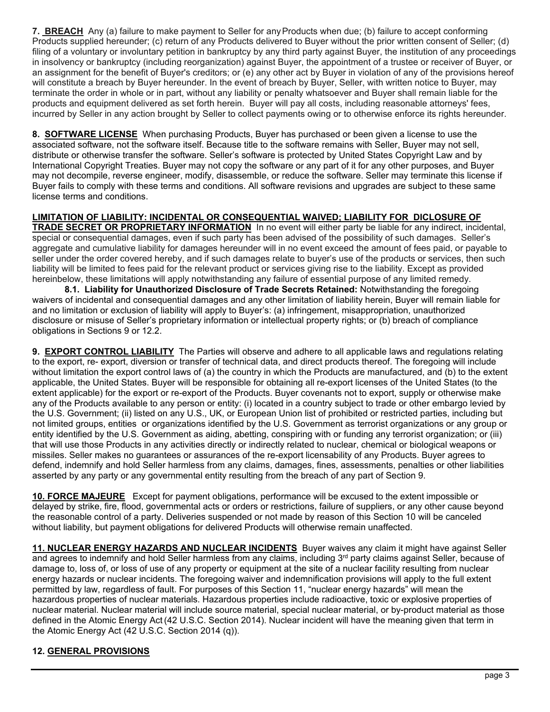**7. BREACH** Any (a) failure to make payment to Seller for any Products when due; (b) failure to accept conforming Products supplied hereunder; (c) return of any Products delivered to Buyer without the prior written consent of Seller; (d) filing of a voluntary or involuntary petition in bankruptcy by any third party against Buyer, the institution of any proceedings in insolvency or bankruptcy (including reorganization) against Buyer, the appointment of a trustee or receiver of Buyer, or an assignment for the benefit of Buyer's creditors; or (e) any other act by Buyer in violation of any of the provisions hereof will constitute a breach by Buyer hereunder. In the event of breach by Buyer, Seller, with written notice to Buyer, may terminate the order in whole or in part, without any liability or penalty whatsoever and Buyer shall remain liable for the products and equipment delivered as set forth herein. Buyer will pay all costs, including reasonable attorneys' fees, incurred by Seller in any action brought by Seller to collect payments owing or to otherwise enforce its rights hereunder.

**8. SOFTWARE LICENSE** When purchasing Products, Buyer has purchased or been given a license to use the associated software, not the software itself. Because title to the software remains with Seller, Buyer may not sell, distribute or otherwise transfer the software. Seller's software is protected by United States Copyright Law and by International Copyright Treaties. Buyer may not copy the software or any part of it for any other purposes, and Buyer may not decompile, reverse engineer, modify, disassemble, or reduce the software. Seller may terminate this license if Buyer fails to comply with these terms and conditions. All software revisions and upgrades are subject to these same license terms and conditions.

**LIMITATION OF LIABILITY: INCIDENTAL OR CONSEQUENTIAL WAIVED; LIABILITY FOR DICLOSURE OF TRADE SECRET OR PROPRIETARY INFORMATION** In no event will either party be liable for any indirect, incidental, special or consequential damages, even if such party has been advised of the possibility of such damages. Seller's aggregate and cumulative liability for damages hereunder will in no event exceed the amount of fees paid, or payable to seller under the order covered hereby, and if such damages relate to buyer's use of the products or services, then such liability will be limited to fees paid for the relevant product or services giving rise to the liability. Except as provided hereinbelow, these limitations will apply notwithstanding any failure of essential purpose of any limited remedy.

**8.1. Liability for Unauthorized Disclosure of Trade Secrets Retained:** Notwithstanding the foregoing waivers of incidental and consequential damages and any other limitation of liability herein, Buyer will remain liable for and no limitation or exclusion of liability will apply to Buyer's: (a) infringement, misappropriation, unauthorized disclosure or misuse of Seller's proprietary information or intellectual property rights; or (b) breach of compliance obligations in Sections 9 or 12.2.

**9. EXPORT CONTROL LIABILITY** The Parties will observe and adhere to all applicable laws and regulations relating to the export, re- export, diversion or transfer of technical data, and direct products thereof. The foregoing will include without limitation the export control laws of (a) the country in which the Products are manufactured, and (b) to the extent applicable, the United States. Buyer will be responsible for obtaining all re-export licenses of the United States (to the extent applicable) for the export or re-export of the Products. Buyer covenants not to export, supply or otherwise make any of the Products available to any person or entity: (i) located in a country subject to trade or other embargo levied by the U.S. Government; (ii) listed on any U.S., UK, or European Union list of prohibited or restricted parties, including but not limited groups, entities or organizations identified by the U.S. Government as terrorist organizations or any group or entity identified by the U.S. Government as aiding, abetting, conspiring with or funding any terrorist organization; or (iii) that will use those Products in any activities directly or indirectly related to nuclear, chemical or biological weapons or missiles. Seller makes no guarantees or assurances of the re-export licensability of any Products. Buyer agrees to defend, indemnify and hold Seller harmless from any claims, damages, fines, assessments, penalties or other liabilities asserted by any party or any governmental entity resulting from the breach of any part of Section 9.

**10. FORCE MAJEURE** Except for payment obligations, performance will be excused to the extent impossible or delayed by strike, fire, flood, governmental acts or orders or restrictions, failure of suppliers, or any other cause beyond the reasonable control of a party. Deliveries suspended or not made by reason of this Section 10 will be canceled without liability, but payment obligations for delivered Products will otherwise remain unaffected.

**11. NUCLEAR ENERGY HAZARDS AND NUCLEAR INCIDENTS** Buyer waives any claim it might have against Seller and agrees to indemnify and hold Seller harmless from any claims, including 3<sup>rd</sup> party claims against Seller, because of damage to, loss of, or loss of use of any property or equipment at the site of a nuclear facility resulting from nuclear energy hazards or nuclear incidents. The foregoing waiver and indemnification provisions will apply to the full extent permitted by law, regardless of fault. For purposes of this Section 11, "nuclear energy hazards" will mean the hazardous properties of nuclear materials. Hazardous properties include radioactive, toxic or explosive properties of nuclear material. Nuclear material will include source material, special nuclear material, or by-product material as those defined in the Atomic Energy Act(42 U.S.C. Section 2014). Nuclear incident will have the meaning given that term in the Atomic Energy Act (42 U.S.C. Section 2014 (q)).

## **12. GENERAL PROVISIONS**